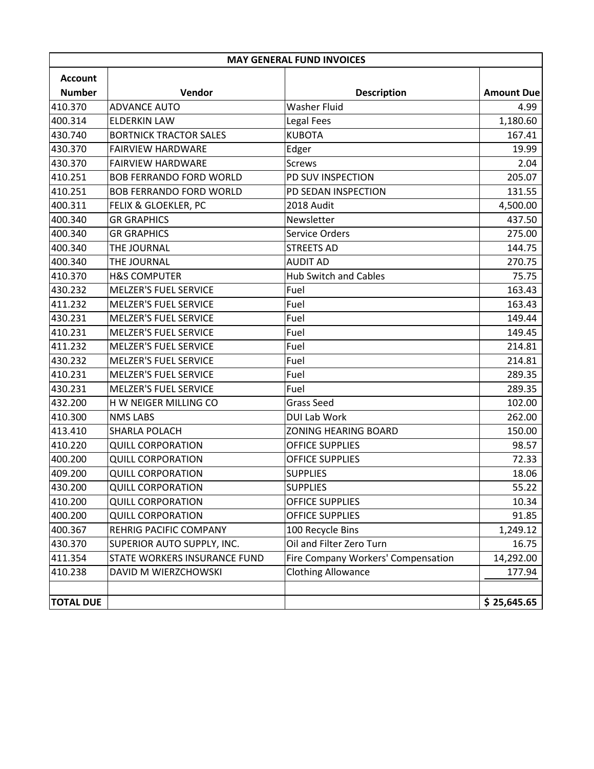| <b>MAY GENERAL FUND INVOICES</b> |                                |                                    |                   |  |  |  |
|----------------------------------|--------------------------------|------------------------------------|-------------------|--|--|--|
| <b>Account</b>                   |                                |                                    |                   |  |  |  |
| <b>Number</b>                    | Vendor                         | <b>Description</b>                 | <b>Amount Due</b> |  |  |  |
| 410.370                          | <b>ADVANCE AUTO</b>            | <b>Washer Fluid</b>                | 4.99              |  |  |  |
| 400.314                          | <b>ELDERKIN LAW</b>            | Legal Fees                         | 1,180.60          |  |  |  |
| 430.740                          | <b>BORTNICK TRACTOR SALES</b>  | <b>KUBOTA</b>                      | 167.41            |  |  |  |
| 430.370                          | <b>FAIRVIEW HARDWARE</b>       | Edger                              | 19.99             |  |  |  |
| 430.370                          | <b>FAIRVIEW HARDWARE</b>       | <b>Screws</b>                      | 2.04              |  |  |  |
| 410.251                          | <b>BOB FERRANDO FORD WORLD</b> | PD SUV INSPECTION                  | 205.07            |  |  |  |
| 410.251                          | <b>BOB FERRANDO FORD WORLD</b> | PD SEDAN INSPECTION                | 131.55            |  |  |  |
| 400.311                          | FELIX & GLOEKLER, PC           | 2018 Audit                         | 4,500.00          |  |  |  |
| 400.340                          | <b>GR GRAPHICS</b>             | Newsletter                         | 437.50            |  |  |  |
| 400.340                          | <b>GR GRAPHICS</b>             | Service Orders                     | 275.00            |  |  |  |
| 400.340                          | THE JOURNAL                    | <b>STREETS AD</b>                  | 144.75            |  |  |  |
| 400.340                          | THE JOURNAL                    | <b>AUDIT AD</b>                    | 270.75            |  |  |  |
| 410.370                          | <b>H&amp;S COMPUTER</b>        | <b>Hub Switch and Cables</b>       | 75.75             |  |  |  |
| 430.232                          | <b>MELZER'S FUEL SERVICE</b>   | Fuel                               | 163.43            |  |  |  |
| 411.232                          | <b>MELZER'S FUEL SERVICE</b>   | Fuel                               | 163.43            |  |  |  |
| 430.231                          | <b>MELZER'S FUEL SERVICE</b>   | Fuel                               | 149.44            |  |  |  |
| 410.231                          | <b>MELZER'S FUEL SERVICE</b>   | Fuel                               | 149.45            |  |  |  |
| 411.232                          | <b>MELZER'S FUEL SERVICE</b>   | Fuel                               | 214.81            |  |  |  |
| 430.232                          | <b>MELZER'S FUEL SERVICE</b>   | Fuel                               | 214.81            |  |  |  |
| 410.231                          | <b>MELZER'S FUEL SERVICE</b>   | Fuel                               | 289.35            |  |  |  |
| 430.231                          | <b>MELZER'S FUEL SERVICE</b>   | Fuel                               | 289.35            |  |  |  |
| 432.200                          | H W NEIGER MILLING CO          | <b>Grass Seed</b>                  | 102.00            |  |  |  |
| 410.300                          | <b>NMS LABS</b>                | DUI Lab Work                       | 262.00            |  |  |  |
| 413.410                          | SHARLA POLACH                  | <b>ZONING HEARING BOARD</b>        | 150.00            |  |  |  |
| 410.220                          | <b>QUILL CORPORATION</b>       | <b>OFFICE SUPPLIES</b>             | 98.57             |  |  |  |
| 400.200                          | <b>QUILL CORPORATION</b>       | <b>OFFICE SUPPLIES</b>             | 72.33             |  |  |  |
| 409.200                          | <b>QUILL CORPORATION</b>       | <b>SUPPLIES</b>                    | 18.06             |  |  |  |
| 430.200                          | <b>QUILL CORPORATION</b>       | <b>SUPPLIES</b>                    | 55.22             |  |  |  |
| 410.200                          | <b>QUILL CORPORATION</b>       | OFFICE SUPPLIES                    | 10.34             |  |  |  |
| 400.200                          | <b>QUILL CORPORATION</b>       | <b>OFFICE SUPPLIES</b>             | 91.85             |  |  |  |
| 400.367                          | REHRIG PACIFIC COMPANY         | 100 Recycle Bins                   | 1,249.12          |  |  |  |
| 430.370                          | SUPERIOR AUTO SUPPLY, INC.     | Oil and Filter Zero Turn           | 16.75             |  |  |  |
| 411.354                          | STATE WORKERS INSURANCE FUND   | Fire Company Workers' Compensation | 14,292.00         |  |  |  |
| 410.238                          | DAVID M WIERZCHOWSKI           | <b>Clothing Allowance</b>          | 177.94            |  |  |  |
|                                  |                                |                                    |                   |  |  |  |
| <b>TOTAL DUE</b>                 |                                |                                    | \$25,645.65       |  |  |  |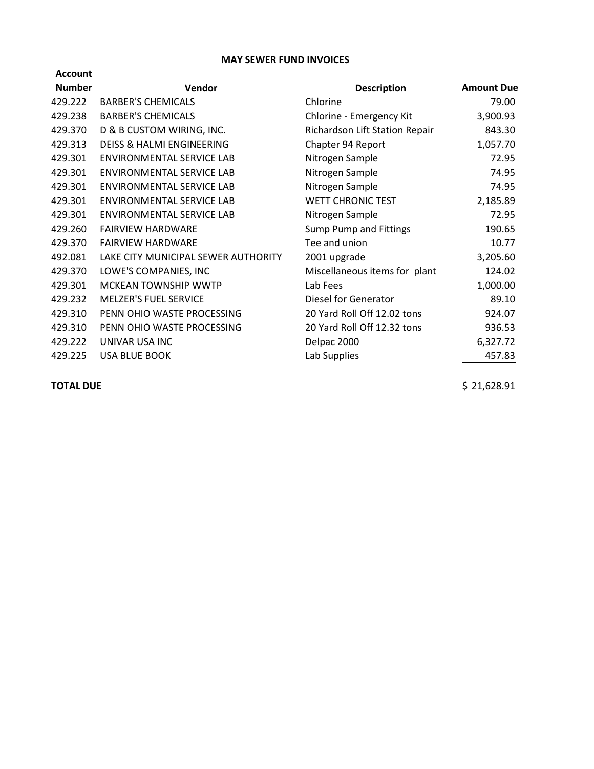## **MAY SEWER FUND INVOICES**

| <b>Account</b> |                                      |                                |                   |
|----------------|--------------------------------------|--------------------------------|-------------------|
| <b>Number</b>  | Vendor                               | <b>Description</b>             | <b>Amount Due</b> |
| 429.222        | <b>BARBER'S CHEMICALS</b>            | Chlorine                       | 79.00             |
| 429.238        | <b>BARBER'S CHEMICALS</b>            | Chlorine - Emergency Kit       | 3,900.93          |
| 429.370        | D & B CUSTOM WIRING, INC.            | Richardson Lift Station Repair | 843.30            |
| 429.313        | <b>DEISS &amp; HALMI ENGINEERING</b> | Chapter 94 Report              | 1,057.70          |
| 429.301        | ENVIRONMENTAL SERVICE LAB            | Nitrogen Sample                | 72.95             |
| 429.301        | <b>ENVIRONMENTAL SERVICE LAB</b>     | Nitrogen Sample                | 74.95             |
| 429.301        | ENVIRONMENTAL SERVICE LAB            | Nitrogen Sample                | 74.95             |
| 429.301        | ENVIRONMENTAL SERVICE LAB            | <b>WETT CHRONIC TEST</b>       | 2,185.89          |
| 429.301        | ENVIRONMENTAL SERVICE LAB            | Nitrogen Sample                | 72.95             |
| 429.260        | <b>FAIRVIEW HARDWARE</b>             | Sump Pump and Fittings         | 190.65            |
| 429.370        | <b>FAIRVIEW HARDWARE</b>             | Tee and union                  | 10.77             |
| 492.081        | LAKE CITY MUNICIPAL SEWER AUTHORITY  | 2001 upgrade                   | 3,205.60          |
| 429.370        | LOWE'S COMPANIES, INC                | Miscellaneous items for plant  | 124.02            |
| 429.301        | <b>MCKEAN TOWNSHIP WWTP</b>          | Lab Fees                       | 1,000.00          |
| 429.232        | <b>MELZER'S FUEL SERVICE</b>         | Diesel for Generator           | 89.10             |
| 429.310        | PENN OHIO WASTE PROCESSING           | 20 Yard Roll Off 12.02 tons    | 924.07            |
| 429.310        | PENN OHIO WASTE PROCESSING           | 20 Yard Roll Off 12.32 tons    | 936.53            |
| 429.222        | UNIVAR USA INC                       | Delpac 2000                    | 6,327.72          |
| 429.225        | <b>USA BLUE BOOK</b>                 | Lab Supplies                   | 457.83            |
|                |                                      |                                |                   |

**TOTAL DUE**  $\begin{array}{c} \text{5} \quad 21,628.91 \end{array}$